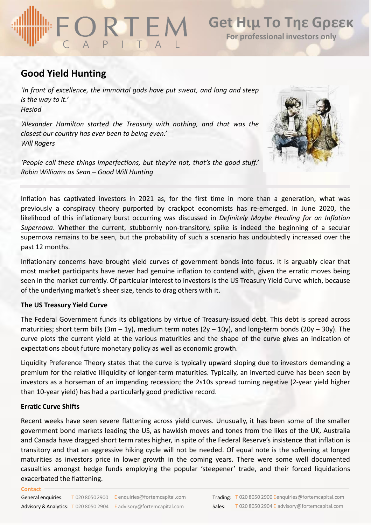# ORIEN

## **Good Yield Hunting**

*'In front of excellence, the immortal gods have put sweat, and long and steep is the way to it.' Hesiod*

*'Alexander Hamilton started the Treasury with nothing, and that was the closest our country has ever been to being even.' Will Rogers*

*'People call these things imperfections, but they're not, that's the good stuff.' Robin Williams as Sean – Good Will Hunting*



Inflation has captivated investors in 2021 as, for the first time in more than a generation, what was previously a conspiracy theory purported by crackpot economists has re-emerged. In June 2020, the likelihood of this inflationary burst occurring was discussed in *Definitely Maybe Heading for an Inflation Supernova*. Whether the current, stubbornly [non-transitory,](https://www.fortemcapital.com/resource/definitely-maybe-heading-for-an-inflation-supernova/) spike is indeed the beginning of a secular supernova remains to be seen, but the probability of such a scenario has undoubtedly increased over the past 12 months.

Inflationary concerns have brought yield curves of government bonds into focus. It is arguably clear that most market participants have never had genuine inflation to contend with, given the erratic moves being seen in the market currently. Of particular interest to investors is the US Treasury Yield Curve which, because of the underlying market's sheer size, tends to drag others with it.

### **The US Treasury Yield Curve**

The Federal Government funds its obligations by virtue of Treasury-issued debt. This debt is spread across maturities; short term bills  $(3m - 1y)$ , medium term notes  $(2y - 10y)$ , and long-term bonds  $(20y - 30y)$ . The curve plots the current yield at the various maturities and the shape of the curve gives an indication of expectations about future monetary policy as well as economic growth.

Liquidity Preference Theory states that the curve is typically upward sloping due to investors demanding a premium for the relative illiquidity of longer-term maturities. Typically, an inverted curve has been seen by investors as a horseman of an impending recession; the 2s10s spread turning negative (2-year yield higher than 10-year yield) has had a particularly good predictive record.

## **Erratic Curve Shifts**

**Contact**

Recent weeks have seen severe flattening across yield curves. Unusually, it has been some of the smaller government bond markets leading the US, as hawkish moves and tones from the likes of the UK, Australia and Canada have dragged short term rates higher, in spite of the Federal Reserve's insistence that inflation is transitory and that an aggressive hiking cycle will not be needed. Of equal note is the softening at longer maturities as investors price in lower growth in the coming years. There were some well documented casualties amongst hedge funds employing the popular 'steepener' trade, and their forced liquidations exacerbated the flattening.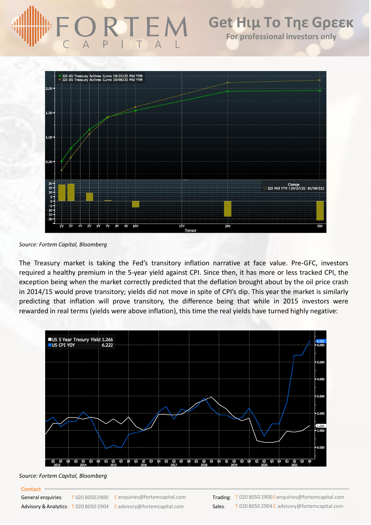

*Source: Fortem Capital, Bloomberg*

The Treasury market is taking the Fed's transitory inflation narrative at face value. Pre-GFC, investors required a healthy premium in the 5-year yield against CPI. Since then, it has more or less tracked CPI, the exception being when the market correctly predicted that the deflation brought about by the oil price crash in 2014/15 would prove transitory; yields did not move in spite of CPI's dip. This year the market is similarly predicting that inflation will prove transitory, the difference being that while in 2015 investors were rewarded in real terms (yields were above inflation), this time the real yields have turned highly negative:



*Source: Fortem Capital, Bloomberg*

### **Contact**

General enquiries: Advisory & Analytics: T 020 8050 2904 E advisory@fortemcapital.com Sales:  $T$  020 8050 2900 E enquiries@fortemcapital.com

**Trading:** T 020 8050 2900 Eenquiries@fortemcapital.com T 020 8050 2904 E advisory@fortemcapital.com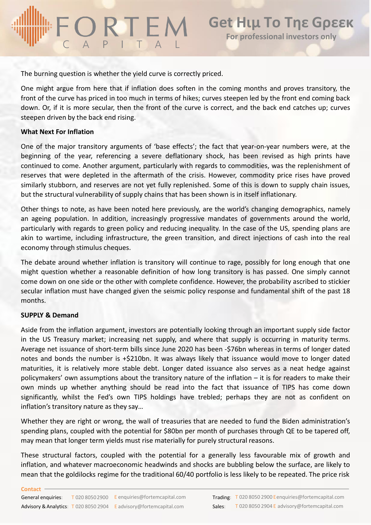The burning question is whether the yield curve is correctly priced.

One might argue from here that if inflation does soften in the coming months and proves transitory, the front of the curve has priced in too much in terms of hikes; curves steepen led by the front end coming back down. Or, if it is more secular, then the front of the curve is correct, and the back end catches up; curves steepen driven by the back end rising.

### **What Next For Inflation**

One of the major transitory arguments of 'base effects'; the fact that year-on-year numbers were, at the beginning of the year, referencing a severe deflationary shock, has been revised as high prints have continued to come. Another argument, particularly with regards to commodities, was the replenishment of reserves that were depleted in the aftermath of the crisis. However, commodity price rises have proved similarly stubborn, and reserves are not yet fully replenished. Some of this is down to supply chain issues, but the structural vulnerability of supply chains that has been shown is in itself inflationary.

Other things to note, as have been noted here previously, are the world's changing demographics, namely an ageing population. In addition, increasingly progressive mandates of governments around the world, particularly with regards to green policy and reducing inequality. In the case of the US, spending plans are akin to wartime, including infrastructure, the green transition, and direct injections of cash into the real economy through stimulus cheques.

The debate around whether inflation is transitory will continue to rage, possibly for long enough that one might question whether a reasonable definition of how long transitory is has passed. One simply cannot come down on one side or the other with complete confidence. However, the probability ascribed to stickier secular inflation must have changed given the seismic policy response and fundamental shift of the past 18 months.

### **SUPPLY & Demand**

Aside from the inflation argument, investors are potentially looking through an important supply side factor in the US Treasury market; increasing net supply, and where that supply is occurring in maturity terms. Average net issuance of short-term bills since June 2020 has been -\$76bn whereas in terms of longer dated notes and bonds the number is +\$210bn. It was always likely that issuance would move to longer dated maturities, it is relatively more stable debt. Longer dated issuance also serves as a neat hedge against policymakers' own assumptions about the transitory nature of the inflation – it is for readers to make their own minds up whether anything should be read into the fact that issuance of TIPS has come down significantly, whilst the Fed's own TIPS holdings have trebled; perhaps they are not as confident on inflation's transitory nature as they say…

Whether they are right or wrong, the wall of treasuries that are needed to fund the Biden administration's spending plans, coupled with the potential for \$80bn per month of purchases through QE to be tapered off, may mean that longer term yields must rise materially for purely structural reasons.

These structural factors, coupled with the potential for a generally less favourable mix of growth and inflation, and whatever macroeconomic headwinds and shocks are bubbling below the surface, are likely to mean that the goldilocks regime for the traditional 60/40 portfolio is less likely to be repeated. The price risk